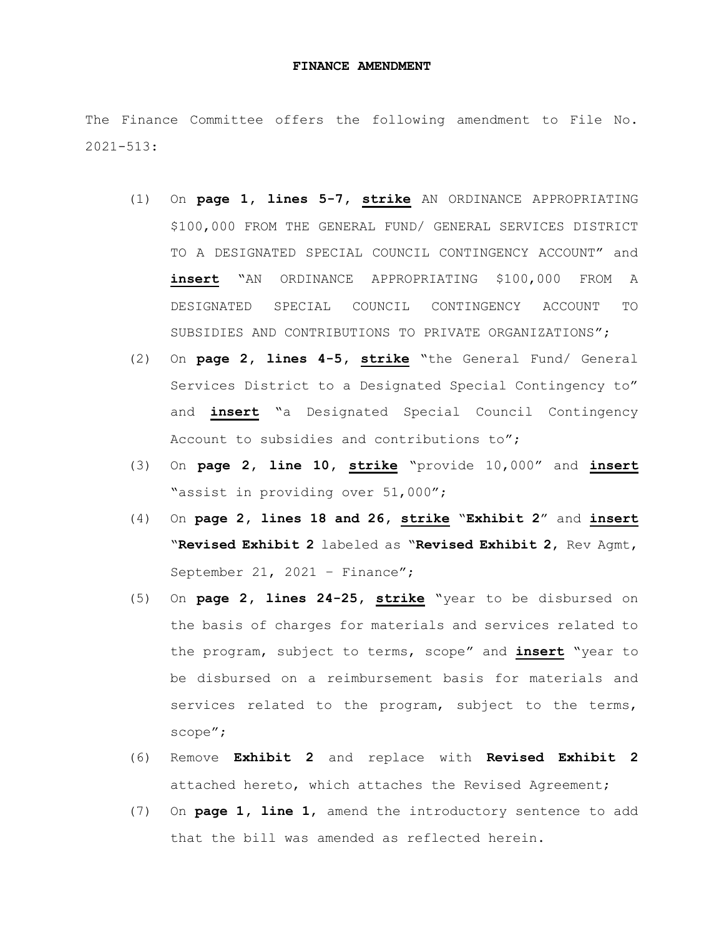## **FINANCE AMENDMENT**

The Finance Committee offers the following amendment to File No. 2021-513:

- (1) On **page 1, lines 5-7, strike** AN ORDINANCE APPROPRIATING \$100,000 FROM THE GENERAL FUND/ GENERAL SERVICES DISTRICT TO A DESIGNATED SPECIAL COUNCIL CONTINGENCY ACCOUNT" and **insert** "AN ORDINANCE APPROPRIATING \$100,000 FROM A DESIGNATED SPECIAL COUNCIL CONTINGENCY ACCOUNT TO SUBSIDIES AND CONTRIBUTIONS TO PRIVATE ORGANIZATIONS";
- (2) On **page 2, lines 4-5, strike** "the General Fund/ General Services District to a Designated Special Contingency to" and **insert** "a Designated Special Council Contingency Account to subsidies and contributions to";
- (3) On **page 2, line 10, strike** "provide 10,000" and **insert** "assist in providing over 51,000";
- (4) On **page 2, lines 18 and 26, strike** "**Exhibit 2**" and **insert** "**Revised Exhibit 2** labeled as "**Revised Exhibit 2**, Rev Agmt, September 21, 2021 - Finance";
- (5) On **page 2, lines 24-25, strike** "year to be disbursed on the basis of charges for materials and services related to the program, subject to terms, scope" and **insert** "year to be disbursed on a reimbursement basis for materials and services related to the program, subject to the terms, scope";
- (6) Remove **Exhibit 2** and replace with **Revised Exhibit 2** attached hereto, which attaches the Revised Agreement;
- (7) On **page 1, line 1**, amend the introductory sentence to add that the bill was amended as reflected herein.